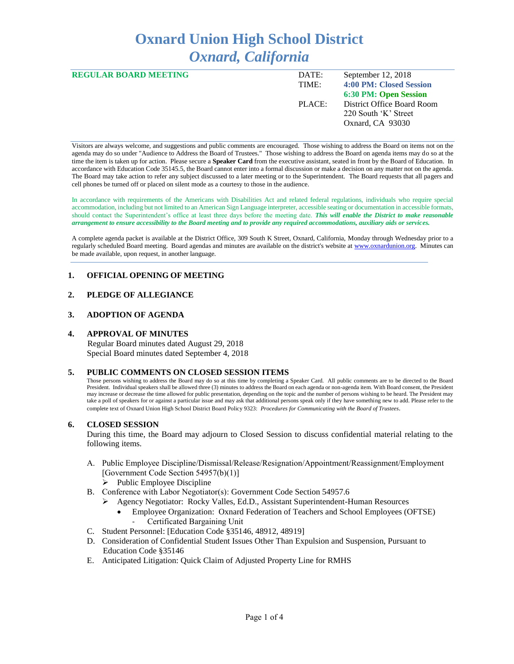# **Oxnard Union High School District** *Oxnard, California*

| <b>REGULAR BOARD MEETING</b> | DATE:  | September $12, 2018$         |
|------------------------------|--------|------------------------------|
|                              | TIME:  | 4:00 PM: Closed Session      |
|                              |        | <b>6:30 PM: Open Session</b> |
|                              | PLACE: | District Office Board Room   |
|                              |        | 220 South 'K' Street         |
|                              |        | Oxnard, CA 93030             |
|                              |        |                              |

Visitors are always welcome, and suggestions and public comments are encouraged. Those wishing to address the Board on items not on the agenda may do so under "Audience to Address the Board of Trustees." Those wishing to address the Board on agenda items may do so at the time the item is taken up for action. Please secure a **Speaker Card** from the executive assistant, seated in front by the Board of Education. In accordance with Education Code 35145.5, the Board cannot enter into a formal discussion or make a decision on any matter not on the agenda. The Board may take action to refer any subject discussed to a later meeting or to the Superintendent. The Board requests that all pagers and cell phones be turned off or placed on silent mode as a courtesy to those in the audience.

In accordance with requirements of the Americans with Disabilities Act and related federal regulations, individuals who require special accommodation, including but not limited to an American Sign Language interpreter, accessible seating or documentation in accessible formats, should contact the Superintendent's office at least three days before the meeting date. *This will enable the District to make reasonable arrangement to ensure accessibility to the Board meeting and to provide any required accommodations, auxiliary aids or services.* 

A complete agenda packet is available at the District Office, 309 South K Street, Oxnard, California, Monday through Wednesday prior to a regularly scheduled Board meeting. Board agendas and minutes are available on the district's website a[t www.ox](http://www.o/)nardunion.org.Minutes can be made available, upon request, in another language.

## **1. OFFICIAL OPENING OF MEETING**

# **2. PLEDGE OF ALLEGIANCE**

## **3. ADOPTION OF AGENDA**

## **4. APPROVAL OF MINUTES**

 Regular Board minutes dated August 29, 2018 Special Board minutes dated September 4, 2018

#### **5. PUBLIC COMMENTS ON CLOSED SESSION ITEMS**

Those persons wishing to address the Board may do so at this time by completing a Speaker Card. All public comments are to be directed to the Board President. Individual speakers shall be allowed three (3) minutes to address the Board on each agenda or non-agenda item. With Board consent, the President may increase or decrease the time allowed for public presentation, depending on the topic and the number of persons wishing to be heard. The President may take a poll of speakers for or against a particular issue and may ask that additional persons speak only if they have something new to add. Please refer to the complete text of Oxnard Union High School District Board Policy 9323: *Procedures for Communicating with the Board of Trustees*.

#### **6. CLOSED SESSION**

During this time, the Board may adjourn to Closed Session to discuss confidential material relating to the following items.

- A. Public Employee Discipline/Dismissal/Release/Resignation/Appointment/Reassignment/Employment [Government Code Section 54957(b)(1)]
	- $\triangleright$  Public Employee Discipline
- B. Conference with Labor Negotiator(s): Government Code Section 54957.6
	- ➢ Agency Negotiator: Rocky Valles, Ed.D., Assistant Superintendent-Human Resources
		- Employee Organization: Oxnard Federation of Teachers and School Employees (OFTSE) Certificated Bargaining Unit
- C. Student Personnel: [Education Code §35146, 48912, 48919]
- D. Consideration of Confidential Student Issues Other Than Expulsion and Suspension, Pursuant to Education Code §35146
- E. Anticipated Litigation: Quick Claim of Adjusted Property Line for RMHS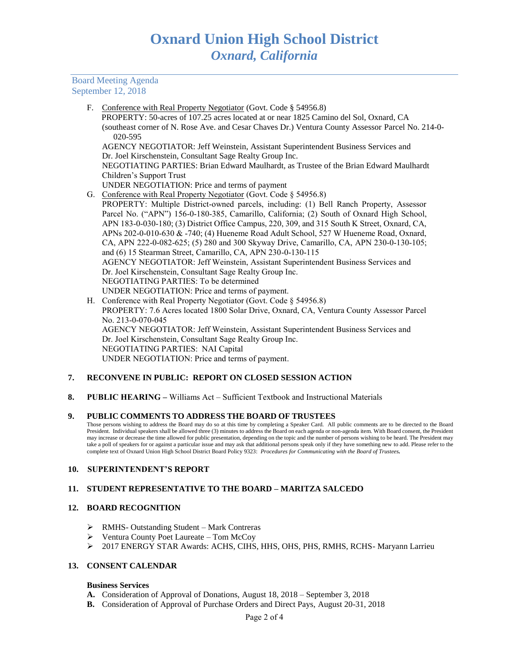Board Meeting Agenda September 12, 2018

F. Conference with Real Property Negotiator (Govt. Code § 54956.8)

 PROPERTY: 50-acres of 107.25 acres located at or near 1825 Camino del Sol, Oxnard, CA (southeast corner of N. Rose Ave. and Cesar Chaves Dr.) Ventura County Assessor Parcel No. 214-0- 020-595

AGENCY NEGOTIATOR: Jeff Weinstein, Assistant Superintendent Business Services and Dr. Joel Kirschenstein, Consultant Sage Realty Group Inc.

NEGOTIATING PARTIES: Brian Edward Maulhardt, as Trustee of the Brian Edward Maulhardt Children's Support Trust

- UNDER NEGOTIATION: Price and terms of payment
- G. Conference with Real Property Negotiator (Govt. Code § 54956.8)
- PROPERTY: Multiple District-owned parcels, including: (1) Bell Ranch Property, Assessor Parcel No. ("APN") 156-0-180-385, Camarillo, California; (2) South of Oxnard High School, APN 183-0-030-180; (3) District Office Campus, 220, 309, and 315 South K Street, Oxnard, CA, APNs 202-0-010-630 & -740; (4) Hueneme Road Adult School, 527 W Hueneme Road, Oxnard, CA, APN 222-0-082-625; (5) 280 and 300 Skyway Drive, Camarillo, CA, APN 230-0-130-105; and (6) 15 Stearman Street, Camarillo, CA, APN 230-0-130-115 AGENCY NEGOTIATOR: Jeff Weinstein, Assistant Superintendent Business Services and Dr. Joel Kirschenstein, Consultant Sage Realty Group Inc. NEGOTIATING PARTIES: To be determined UNDER NEGOTIATION: Price and terms of payment.
- H. Conference with Real Property Negotiator (Govt. Code § 54956.8) PROPERTY: 7.6 Acres located 1800 Solar Drive, Oxnard, CA, Ventura County Assessor Parcel No. 213-0-070-045 AGENCY NEGOTIATOR: Jeff Weinstein, Assistant Superintendent Business Services and Dr. Joel Kirschenstein, Consultant Sage Realty Group Inc. NEGOTIATING PARTIES: NAI Capital UNDER NEGOTIATION: Price and terms of payment.

## **7. RECONVENE IN PUBLIC: REPORT ON CLOSED SESSION ACTION**

**8. PUBLIC HEARING –** Williams Act – Sufficient Textbook and Instructional Materials

#### **9. PUBLIC COMMENTS TO ADDRESS THE BOARD OF TRUSTEES**

Those persons wishing to address the Board may do so at this time by completing a Speaker Card. All public comments are to be directed to the Board President. Individual speakers shall be allowed three (3) minutes to address the Board on each agenda or non-agenda item. With Board consent, the President may increase or decrease the time allowed for public presentation, depending on the topic and the number of persons wishing to be heard. The President may take a poll of speakers for or against a particular issue and may ask that additional persons speak only if they have something new to add. Please refer to the complete text of Oxnard Union High School District Board Policy 9323: *Procedures for Communicating with the Board of Trustees.*

## **10. SUPERINTENDENT'S REPORT**

## **11. STUDENT REPRESENTATIVE TO THE BOARD – MARITZA SALCEDO**

# **12. BOARD RECOGNITION**

- ➢ RMHS- Outstanding Student Mark Contreras
- ➢ Ventura County Poet Laureate Tom McCoy
- ➢ 2017 ENERGY STAR Awards: ACHS, CIHS, HHS, OHS, PHS, RMHS, RCHS- Maryann Larrieu

#### **13. CONSENT CALENDAR**

#### **Business Services**

- **A.** Consideration of Approval of Donations, August 18, 2018 September 3, 2018
- **B.** Consideration of Approval of Purchase Orders and Direct Pays, August 20-31, 2018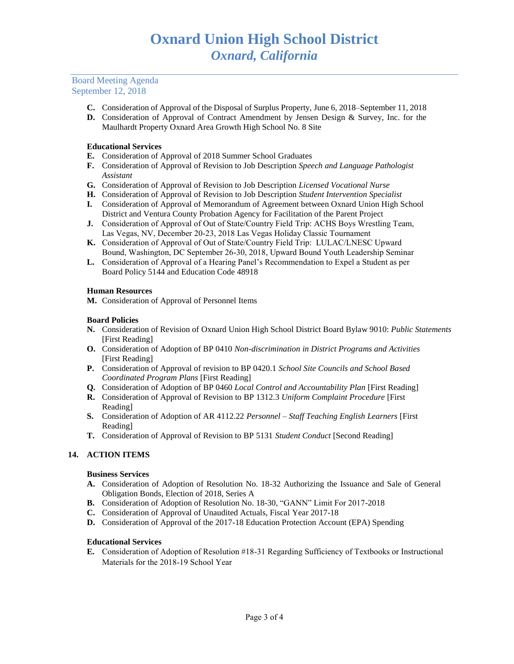Board Meeting Agenda September 12, 2018

- **C.** Consideration of Approval of the Disposal of Surplus Property, June 6, 2018–September 11, 2018
- **D.** Consideration of Approval of Contract Amendment by Jensen Design & Survey, Inc. for the Maulhardt Property Oxnard Area Growth High School No. 8 Site

# **Educational Services**

- **E.** Consideration of Approval of 2018 Summer School Graduates
- **F.** Consideration of Approval of Revision to Job Description *Speech and Language Pathologist Assistant*
- **G.** Consideration of Approval of Revision to Job Description *Licensed Vocational Nurse*
- **H.** Consideration of Approval of Revision to Job Description *Student Intervention Specialist*
- **I.** Consideration of Approval of Memorandum of Agreement between Oxnard Union High School District and Ventura County Probation Agency for Facilitation of the Parent Project
- **J.** Consideration of Approval of Out of State/Country Field Trip: ACHS Boys Wrestling Team, Las Vegas, NV, December 20-23, 2018 Las Vegas Holiday Classic Tournament
- **K.** Consideration of Approval of Out of State/Country Field Trip: LULAC/LNESC Upward Bound, Washington, DC September 26-30, 2018, Upward Bound Youth Leadership Seminar
- **L.** Consideration of Approval of a Hearing Panel's Recommendation to Expel a Student as per Board Policy 5144 and Education Code 48918

## **Human Resources**

**M.** Consideration of Approval of Personnel Items

### **Board Policies**

- **N.** Consideration of Revision of Oxnard Union High School District Board Bylaw 9010: *Public Statements* [First Reading]
- **O.** Consideration of Adoption of BP 0410 *Non-discrimination in District Programs and Activities* [First Reading]
- **P.** Consideration of Approval of revision to BP 0420.1 *School Site Councils and School Based Coordinated Program Plans* [First Reading]
- **Q.** Consideration of Adoption of BP 0460 *Local Control and Accountability Plan* [First Reading]
- **R.** Consideration of Approval of Revision to BP 1312.3 *Uniform Complaint Procedure* [First Reading]
- **S.** Consideration of Adoption of AR 4112.22 *Personnel – Staff Teaching English Learners* [First Reading]
- **T.** Consideration of Approval of Revision to BP 5131 *Student Conduct* [Second Reading]

## **14. ACTION ITEMS**

## **Business Services**

- **A.** Consideration of Adoption of Resolution No. 18-32 Authorizing the Issuance and Sale of General Obligation Bonds, Election of 2018, Series A
- **B.** Consideration of Adoption of Resolution No. 18-30, "GANN" Limit For 2017-2018
- **C.** Consideration of Approval of Unaudited Actuals, Fiscal Year 2017-18
- **D.** Consideration of Approval of the 2017-18 Education Protection Account (EPA) Spending

## **Educational Services**

**E.** Consideration of Adoption of Resolution #18-31 Regarding Sufficiency of Textbooks or Instructional Materials for the 2018-19 School Year